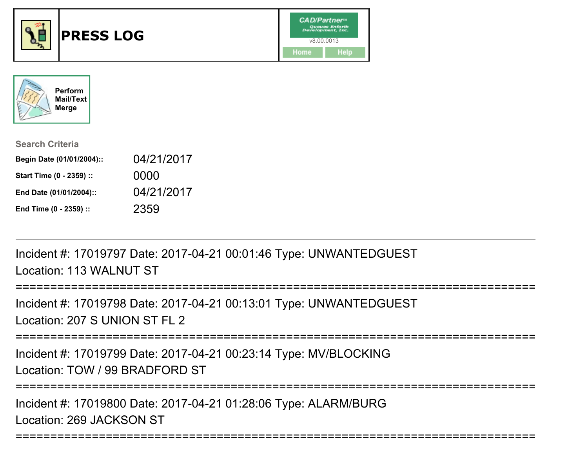



| <b>Search Criteria</b>    |            |
|---------------------------|------------|
| Begin Date (01/01/2004):: | 04/21/2017 |
| Start Time (0 - 2359) ::  | 0000       |
| End Date (01/01/2004)::   | 04/21/2017 |
| End Time (0 - 2359) ::    | 2359       |

Incident #: 17019797 Date: 2017-04-21 00:01:46 Type: UNWANTEDGUESTLocation: 113 WALNUT ST

```
================
```
Incident #: 17019798 Date: 2017-04-21 00:13:01 Type: UNWANTEDGUESTLocation: 207 S UNION ST FL 2

===========================================================================

Incident #: 17019799 Date: 2017-04-21 00:23:14 Type: MV/BLOCKINGLocation: TOW / 99 BRADFORD ST

===========================================================================

Incident #: 17019800 Date: 2017-04-21 01:28:06 Type: ALARM/BURGLocation: 269 JACKSON ST

```
===========================================================================
```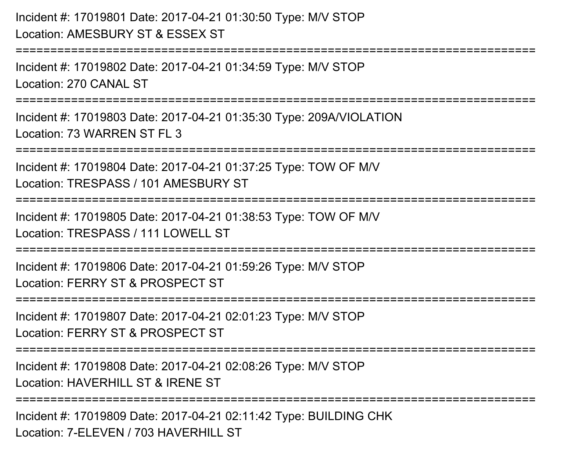## Incident #: 17019801 Date: 2017-04-21 01:30:50 Type: M/V STOPLocation: AMESBURY ST & ESSEX ST

=========================

Incident #: 17019802 Date: 2017-04-21 01:34:59 Type: M/V STOPLocation: 270 CANAL ST

===========================================================================

Incident #: 17019803 Date: 2017-04-21 01:35:30 Type: 209A/VIOLATIONLocation: 73 WARREN ST FL 3

===========================================================================

Incident #: 17019804 Date: 2017-04-21 01:37:25 Type: TOW OF M/V

Location: TRESPASS / 101 AMESBURY ST

===========================================================================

Incident #: 17019805 Date: 2017-04-21 01:38:53 Type: TOW OF M/V

Location: TRESPASS / 111 LOWELL ST

===========================================================================

Incident #: 17019806 Date: 2017-04-21 01:59:26 Type: M/V STOPLocation: FERRY ST & PROSPECT ST

===========================================================================

Incident #: 17019807 Date: 2017-04-21 02:01:23 Type: M/V STOP

Location: FERRY ST & PROSPECT ST

===========================================================================

Incident #: 17019808 Date: 2017-04-21 02:08:26 Type: M/V STOP

Location: HAVERHILL ST & IRENE ST

===========================================================================

Incident #: 17019809 Date: 2017-04-21 02:11:42 Type: BUILDING CHKLocation: 7-FLEVEN / 703 HAVERHILL ST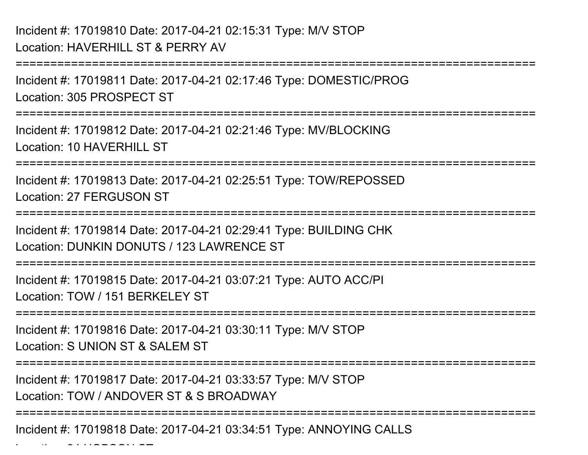===========================================================================Incident #: 17019811 Date: 2017-04-21 02:17:46 Type: DOMESTIC/PROGLocation: 305 PROSPECT ST===========================================================================Incident #: 17019812 Date: 2017-04-21 02:21:46 Type: MV/BLOCKINGLocation: 10 HAVERHILL ST ===========================================================================Incident #: 17019813 Date: 2017-04-21 02:25:51 Type: TOW/REPOSSEDLocation: 27 FERGUSON ST**==================** Incident #: 17019814 Date: 2017-04-21 02:29:41 Type: BUILDING CHKLocation: DUNKIN DONUTS / 123 LAWRENCE ST===========================================================================Incident #: 17019815 Date: 2017-04-21 03:07:21 Type: AUTO ACC/PILocation: TOW / 151 BERKELEY ST===========================================================================Incident #: 17019816 Date: 2017-04-21 03:30:11 Type: M/V STOPLocation: S UNION ST & SALEM ST ===========================================================================Incident #: 17019817 Date: 2017-04-21 03:33:57 Type: M/V STOPLocation: TOW / ANDOVER ST & S BROADWAY===========================================================================

Incident #: 17019818 Date: 2017-04-21 03:34:51 Type: ANNOYING CALLS

Location: 24 HOBSON ST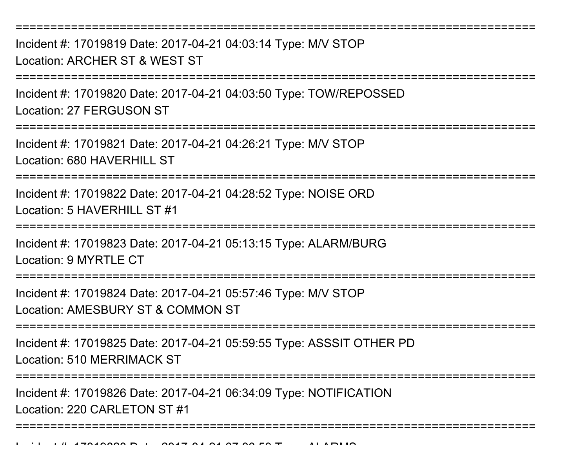Incident #: 17019819 Date: 2017-04-21 04:03:14 Type: M/V STOPLocation: ARCHER ST & WEST ST

===========================================================================

Incident #: 17019820 Date: 2017-04-21 04:03:50 Type: TOW/REPOSSEDLocation: 27 FERGUSON ST

================

Incident #: 17019821 Date: 2017-04-21 04:26:21 Type: M/V STOPLocation: 680 HAVERHILL ST

===========================================================================

Incident #: 17019822 Date: 2017-04-21 04:28:52 Type: NOISE ORDLocation: 5 HAVERHILL ST #1

===========================================================================

Incident #: 17019823 Date: 2017-04-21 05:13:15 Type: ALARM/BURGLocation: 9 MYRTLE CT

===========================================================================

Incident #: 17019824 Date: 2017-04-21 05:57:46 Type: M/V STOPLocation: AMESBURY ST & COMMON ST

===========================================================================

Incident #: 17019825 Date: 2017-04-21 05:59:55 Type: ASSSIT OTHER PDLocation: 510 MERRIMACK ST

===========================================================================

Incident #: 17019826 Date: 2017-04-21 06:34:09 Type: NOTIFICATION

Location: 220 CARLETON ST #1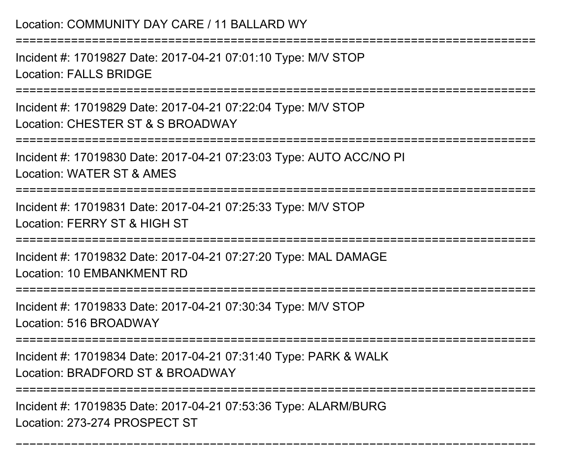Incident #: 17019827 Date: 2017-04-21 07:01:10 Type: M/V STOPLocation: FALLS BRIDGE

========================

Incident #: 17019829 Date: 2017-04-21 07:22:04 Type: M/V STOPLocation: CHESTER ST & S BROADWAY

===========================================================================

Incident #: 17019830 Date: 2017-04-21 07:23:03 Type: AUTO ACC/NO PILocation: WATER ST & AMES

===========================================================================

Incident #: 17019831 Date: 2017-04-21 07:25:33 Type: M/V STOPLocation: FERRY ST & HIGH ST

===========================================================================

Incident #: 17019832 Date: 2017-04-21 07:27:20 Type: MAL DAMAGELocation: 10 EMBANKMENT RD

===========================

Incident #: 17019833 Date: 2017-04-21 07:30:34 Type: M/V STOP

Location: 516 BROADWAY

===========================================================================

Incident #: 17019834 Date: 2017-04-21 07:31:40 Type: PARK & WALK

Location: BRADFORD ST & BROADWAY

====================

===========================================================================

Incident #: 17019835 Date: 2017-04-21 07:53:36 Type: ALARM/BURGLocation: 273-274 PROSPECT ST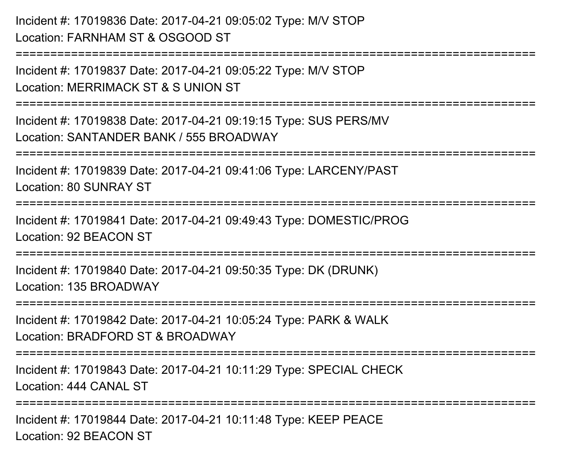Incident #: 17019836 Date: 2017-04-21 09:05:02 Type: M/V STOPLocation: FARNHAM ST & OSGOOD ST===========================================================================Incident #: 17019837 Date: 2017-04-21 09:05:22 Type: M/V STOPLocation: MERRIMACK ST & S UNION ST===========================================================================Incident #: 17019838 Date: 2017-04-21 09:19:15 Type: SUS PERS/MVLocation: SANTANDER BANK / 555 BROADWAY===========================================================================Incident #: 17019839 Date: 2017-04-21 09:41:06 Type: LARCENY/PASTLocation: 80 SUNRAY ST===========================================================================Incident #: 17019841 Date: 2017-04-21 09:49:43 Type: DOMESTIC/PROGLocation: 92 BEACON ST===========================================================================Incident #: 17019840 Date: 2017-04-21 09:50:35 Type: DK (DRUNK)Location: 135 BROADWAY ===========================================================================Incident #: 17019842 Date: 2017-04-21 10:05:24 Type: PARK & WALKLocation: BRADFORD ST & BROADWAY===========================================================================Incident #: 17019843 Date: 2017-04-21 10:11:29 Type: SPECIAL CHECKLocation: 444 CANAL ST===========================================================================Incident #: 17019844 Date: 2017-04-21 10:11:48 Type: KEEP PEACELocation: 92 BEACON ST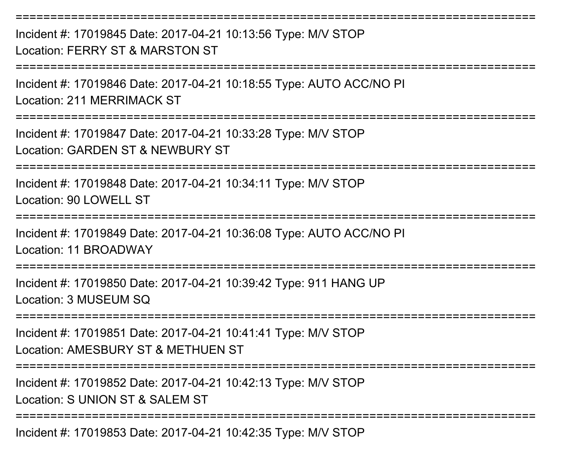===========================================================================Incident #: 17019845 Date: 2017-04-21 10:13:56 Type: M/V STOPLocation: FERRY ST & MARSTON ST===========================================================================Incident #: 17019846 Date: 2017-04-21 10:18:55 Type: AUTO ACC/NO PILocation: 211 MERRIMACK ST===========================================================================Incident #: 17019847 Date: 2017-04-21 10:33:28 Type: M/V STOPLocation: GARDEN ST & NEWBURY ST===========================================================================Incident #: 17019848 Date: 2017-04-21 10:34:11 Type: M/V STOPLocation: 90 LOWELL ST===========================================================================Incident #: 17019849 Date: 2017-04-21 10:36:08 Type: AUTO ACC/NO PILocation: 11 BROADWAY===========================================================================Incident #: 17019850 Date: 2017-04-21 10:39:42 Type: 911 HANG UPLocation: 3 MUSEUM SQ ===========================================================================Incident #: 17019851 Date: 2017-04-21 10:41:41 Type: M/V STOPLocation: AMESBURY ST & METHUEN ST===========================================================================Incident #: 17019852 Date: 2017-04-21 10:42:13 Type: M/V STOPLocation: S UNION ST & SALEM ST ===========================================================================Incident #: 17019853 Date: 2017-04-21 10:42:35 Type: M/V STOP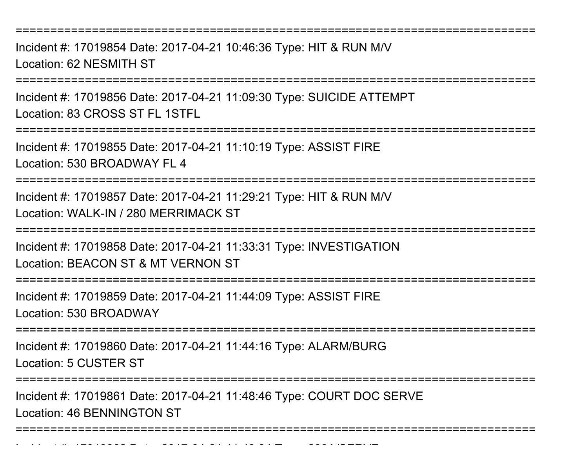Incident #: 17019854 Date: 2017-04-21 10:46:36 Type: HIT & RUN M/VLocation: 62 NESMITH ST

===========================================================================

Incident #: 17019856 Date: 2017-04-21 11:09:30 Type: SUICIDE ATTEMPTLocation: 83 CROSS ST FL 1STFL

===========================================================================

Incident #: 17019855 Date: 2017-04-21 11:10:19 Type: ASSIST FIRELocation: 530 BROADWAY FL 4

===========================================================================

Incident #: 17019857 Date: 2017-04-21 11:29:21 Type: HIT & RUN M/VLocation: WALK-IN / 280 MERRIMACK ST

===========================================================================

Incident #: 17019858 Date: 2017-04-21 11:33:31 Type: INVESTIGATIONLocation: BEACON ST & MT VERNON ST

===========================================================================

Incident #: 17019859 Date: 2017-04-21 11:44:09 Type: ASSIST FIRELocation: 530 BROADWAY

===========================================================================

Incident #: 17019860 Date: 2017-04-21 11:44:16 Type: ALARM/BURGLocation: 5 CUSTER ST

Incident #: 17019862 Date: 2017

=========================

Incident #: 17019861 Date: 2017-04-21 11:48:46 Type: COURT DOC SERVELocation: 46 BENNINGTON ST

===========================================================================

<sup>04</sup> 21 11:49:34 Type: 209A/SERVE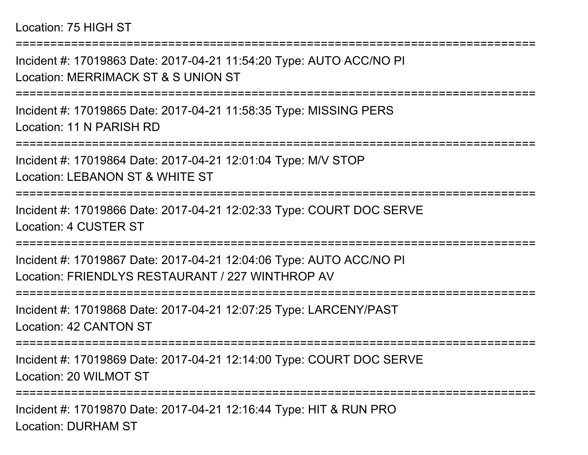## Location: 75 HIGH ST

Incident #: 17019863 Date: 2017-04-21 11:54:20 Type: AUTO ACC/NO PILocation: MERRIMACK ST & S UNION ST

===========================================================================

===========================================================================

Incident #: 17019865 Date: 2017-04-21 11:58:35 Type: MISSING PERSLocation: 11 N PARISH RD

===========================================================================

Incident #: 17019864 Date: 2017-04-21 12:01:04 Type: M/V STOPLocation: LEBANON ST & WHITE ST

===========================================================================

Incident #: 17019866 Date: 2017-04-21 12:02:33 Type: COURT DOC SERVELocation: 4 CUSTER ST

===========================================================================

Incident #: 17019867 Date: 2017-04-21 12:04:06 Type: AUTO ACC/NO PILocation: FRIENDLYS RESTAURANT / 227 WINTHROP AV

===========================================================================

Incident #: 17019868 Date: 2017-04-21 12:07:25 Type: LARCENY/PASTLocation: 42 CANTON ST

===========================================================================

Incident #: 17019869 Date: 2017-04-21 12:14:00 Type: COURT DOC SERVELocation: 20 WILMOT ST

===========================================================================

Incident #: 17019870 Date: 2017-04-21 12:16:44 Type: HIT & RUN PROLocation: DURHAM ST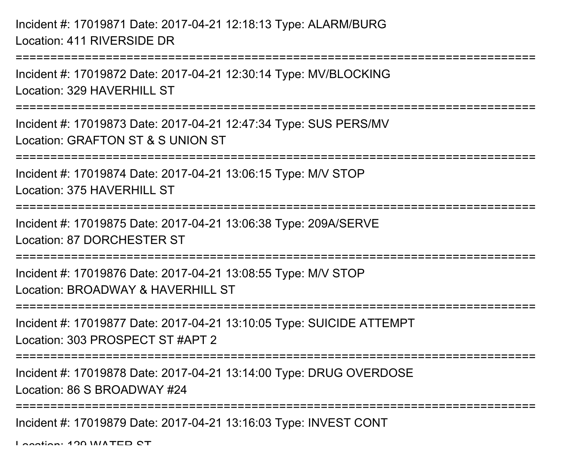Incident #: 17019871 Date: 2017-04-21 12:18:13 Type: ALARM/BURGLocation: 411 RIVERSIDE DR

===========================================================================Incident #: 17019872 Date: 2017-04-21 12:30:14 Type: MV/BLOCKINGLocation: 329 HAVERHILL ST ===========================================================================

Incident #: 17019873 Date: 2017-04-21 12:47:34 Type: SUS PERS/MVLocation: GRAFTON ST & S UNION ST

===========================================================================

Incident #: 17019874 Date: 2017-04-21 13:06:15 Type: M/V STOP

Location: 375 HAVERHILL ST

===========================================================================

Incident #: 17019875 Date: 2017-04-21 13:06:38 Type: 209A/SERVE

Location: 87 DORCHESTER ST

===========================================================================

Incident #: 17019876 Date: 2017-04-21 13:08:55 Type: M/V STOPLocation: BROADWAY & HAVERHILL ST

===========================================================================

Incident #: 17019877 Date: 2017-04-21 13:10:05 Type: SUICIDE ATTEMPTLocation: 303 PROSPECT ST #APT 2

===========================================================================

Incident #: 17019878 Date: 2017-04-21 13:14:00 Type: DRUG OVERDOSE

Location: 86 S BROADWAY #24

===========================================================================

Incident #: 17019879 Date: 2017-04-21 13:16:03 Type: INVEST CONT

Location: 120 WATER ST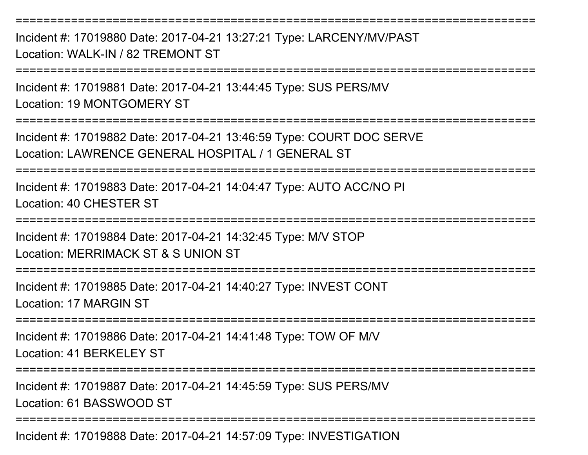Incident #: 17019880 Date: 2017-04-21 13:27:21 Type: LARCENY/MV/PASTLocation: WALK-IN / 82 TREMONT ST

===========================================================================

Incident #: 17019881 Date: 2017-04-21 13:44:45 Type: SUS PERS/MVLocation: 19 MONTGOMERY ST

===========================================================================

Incident #: 17019882 Date: 2017-04-21 13:46:59 Type: COURT DOC SERVELocation: LAWRENCE GENERAL HOSPITAL / 1 GENERAL ST

===========================================================================

Incident #: 17019883 Date: 2017-04-21 14:04:47 Type: AUTO ACC/NO PILocation: 40 CHESTER ST

===========================================================================

Incident #: 17019884 Date: 2017-04-21 14:32:45 Type: M/V STOPLocation: MERRIMACK ST & S UNION ST

===========================================================================

Incident #: 17019885 Date: 2017-04-21 14:40:27 Type: INVEST CONTLocation: 17 MARGIN ST

==============

Incident #: 17019886 Date: 2017-04-21 14:41:48 Type: TOW OF M/VLocation: 41 BERKELEY ST

===========================================================================

Incident #: 17019887 Date: 2017-04-21 14:45:59 Type: SUS PERS/MVLocation: 61 BASSWOOD ST

===========================================================================

Incident #: 17019888 Date: 2017-04-21 14:57:09 Type: INVESTIGATION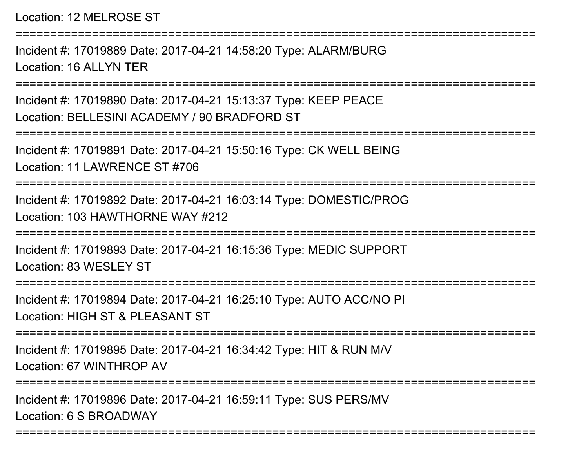Location: 12 MELROSE ST

Incident #: 17019889 Date: 2017-04-21 14:58:20 Type: ALARM/BURGLocation: 16 ALLYN TER

===========================================================================

===========================================================================

Incident #: 17019890 Date: 2017-04-21 15:13:37 Type: KEEP PEACELocation: BELLESINI ACADEMY / 90 BRADFORD ST

===========================================================================

Incident #: 17019891 Date: 2017-04-21 15:50:16 Type: CK WELL BEINGLocation: 11 LAWRENCE ST #706

===========================================================================

Incident #: 17019892 Date: 2017-04-21 16:03:14 Type: DOMESTIC/PROGLocation: 103 HAWTHORNE WAY #212

========================

Incident #: 17019893 Date: 2017-04-21 16:15:36 Type: MEDIC SUPPORTLocation: 83 WESLEY ST

====================

Incident #: 17019894 Date: 2017-04-21 16:25:10 Type: AUTO ACC/NO PILocation: HIGH ST & PLEASANT ST

===========================================================================

Incident #: 17019895 Date: 2017-04-21 16:34:42 Type: HIT & RUN M/VLocation: 67 WINTHROP AV

===========================================================================

===========================================================================

Incident #: 17019896 Date: 2017-04-21 16:59:11 Type: SUS PERS/MVLocation: 6 S BROADWAY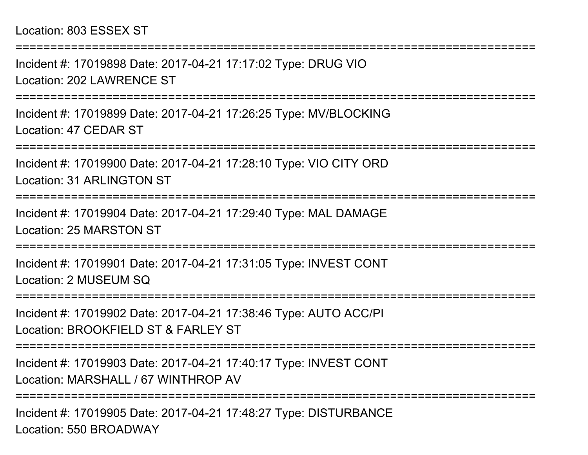Incident #: 17019898 Date: 2017-04-21 17:17:02 Type: DRUG VIOLocation: 202 LAWRENCE ST

===========================================================================

===========================================================================

Incident #: 17019899 Date: 2017-04-21 17:26:25 Type: MV/BLOCKINGLocation: 47 CEDAR ST

===========================================================================

Incident #: 17019900 Date: 2017-04-21 17:28:10 Type: VIO CITY ORDLocation: 31 ARLINGTON ST

**====================**=

Incident #: 17019904 Date: 2017-04-21 17:29:40 Type: MAL DAMAGELocation: 25 MARSTON ST

=====================

Incident #: 17019901 Date: 2017-04-21 17:31:05 Type: INVEST CONTLocation: 2 MUSEUM SQ

===========================================================================

Incident #: 17019902 Date: 2017-04-21 17:38:46 Type: AUTO ACC/PILocation: BROOKFIFLD ST & FARLEY ST

===========================================================================

Incident #: 17019903 Date: 2017-04-21 17:40:17 Type: INVEST CONTLocation: MARSHALL / 67 WINTHROP AV

===========================================================================

Incident #: 17019905 Date: 2017-04-21 17:48:27 Type: DISTURBANCELocation: 550 BROADWAY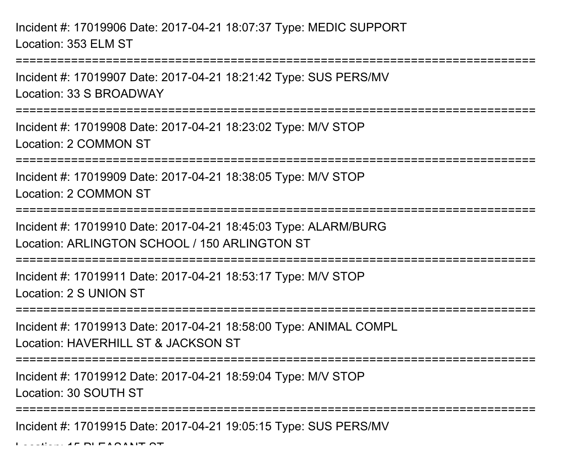Incident #: 17019906 Date: 2017-04-21 18:07:37 Type: MEDIC SUPPORTLocation: 353 ELM ST

Incident #: 17019907 Date: 2017-04-21 18:21:42 Type: SUS PERS/MVLocation: 33 S BROADWAY

===========================================================================

===========================================================================

Incident #: 17019908 Date: 2017-04-21 18:23:02 Type: M/V STOPLocation: 2 COMMON ST

===========================================================================

Incident #: 17019909 Date: 2017-04-21 18:38:05 Type: M/V STOPLocation: 2 COMMON ST

===========================================================================

Incident #: 17019910 Date: 2017-04-21 18:45:03 Type: ALARM/BURGLocation: ARLINGTON SCHOOL / 150 ARLINGTON ST

===========================================================================

Incident #: 17019911 Date: 2017-04-21 18:53:17 Type: M/V STOPLocation: 2 S UNION ST

===========================================================================

Incident #: 17019913 Date: 2017-04-21 18:58:00 Type: ANIMAL COMPLLocation: HAVERHILL ST & JACKSON ST

===========================================================================

Incident #: 17019912 Date: 2017-04-21 18:59:04 Type: M/V STOP

Location: 30 SOUTH ST

===========================================================================

Incident #: 17019915 Date: 2017-04-21 19:05:15 Type: SUS PERS/MV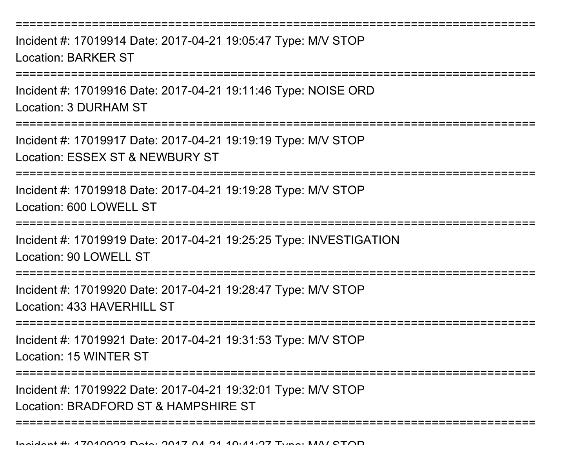===========================================================================Incident #: 17019914 Date: 2017-04-21 19:05:47 Type: M/V STOPLocation: BARKER ST===========================================================================Incident #: 17019916 Date: 2017-04-21 19:11:46 Type: NOISE ORDLocation: 3 DURHAM ST===========================================================================Incident #: 17019917 Date: 2017-04-21 19:19:19 Type: M/V STOPLocation: ESSEX ST & NEWBURY ST===========================================================================Incident #: 17019918 Date: 2017-04-21 19:19:28 Type: M/V STOPLocation: 600 LOWELL ST======================= Incident #: 17019919 Date: 2017-04-21 19:25:25 Type: INVESTIGATIONLocation: 90 LOWELL ST======================= Incident #: 17019920 Date: 2017-04-21 19:28:47 Type: M/V STOPLocation: 433 HAVERHILL ST ===========================================================================Incident #: 17019921 Date: 2017-04-21 19:31:53 Type: M/V STOPLocation: 15 WINTER ST===========================================================================Incident #: 17019922 Date: 2017-04-21 19:32:01 Type: M/V STOPLocation: BRADFORD ST & HAMPSHIRE ST

===========================================================================

Incident #: 17019923 Date: 2017 <sup>04</sup> 21 19:41:27 Type: M/V STOP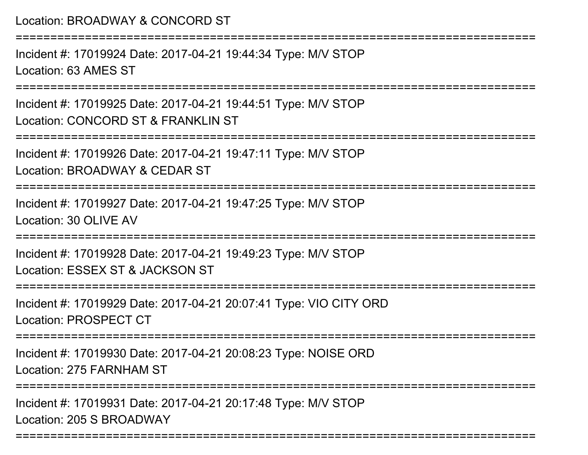===========================================================================Incident #: 17019924 Date: 2017-04-21 19:44:34 Type: M/V STOPLocation: 63 AMES ST===========================================================================Incident #: 17019925 Date: 2017-04-21 19:44:51 Type: M/V STOPLocation: CONCORD ST & FRANKLIN ST===========================================================================Incident #: 17019926 Date: 2017-04-21 19:47:11 Type: M/V STOPLocation: BROADWAY & CEDAR ST===========================================================================Incident #: 17019927 Date: 2017-04-21 19:47:25 Type: M/V STOPLocation: 30 OLIVE AV===========================================================================Incident #: 17019928 Date: 2017-04-21 19:49:23 Type: M/V STOPLocation: ESSEX ST & JACKSON ST===========================================================================Incident #: 17019929 Date: 2017-04-21 20:07:41 Type: VIO CITY ORDLocation: PROSPECT CT===========================================================================Incident #: 17019930 Date: 2017-04-21 20:08:23 Type: NOISE ORDLocation: 275 FARNHAM ST===========================================================================Incident #: 17019931 Date: 2017-04-21 20:17:48 Type: M/V STOPLocation: 205 S BROADWAY

===========================================================================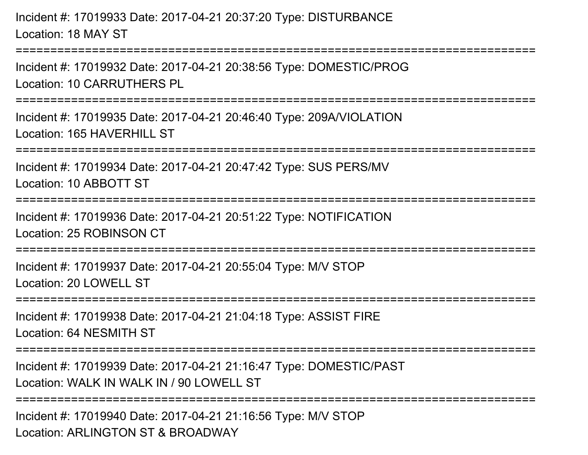Incident #: 17019933 Date: 2017-04-21 20:37:20 Type: DISTURBANCELocation: 18 MAY ST

===========================================================================

Incident #: 17019932 Date: 2017-04-21 20:38:56 Type: DOMESTIC/PROGLocation: 10 CARRUTHERS PL

===========================================================================

Incident #: 17019935 Date: 2017-04-21 20:46:40 Type: 209A/VIOLATIONLocation: 165 HAVERHILL ST

===========================================================================

Incident #: 17019934 Date: 2017-04-21 20:47:42 Type: SUS PERS/MV

Location: 10 ABBOTT ST

=======================

Incident #: 17019936 Date: 2017-04-21 20:51:22 Type: NOTIFICATIONLocation: 25 ROBINSON CT

===========================================================================

Incident #: 17019937 Date: 2017-04-21 20:55:04 Type: M/V STOPLocation: 20 LOWELL ST

===========================================================================

Incident #: 17019938 Date: 2017-04-21 21:04:18 Type: ASSIST FIRELocation: 64 NESMITH ST

===========================================================================

Incident #: 17019939 Date: 2017-04-21 21:16:47 Type: DOMESTIC/PASTLocation: WALK IN WALK IN / 90 LOWELL ST

=====================

Incident #: 17019940 Date: 2017-04-21 21:16:56 Type: M/V STOPLocation: ARLINGTON ST & BROADWAY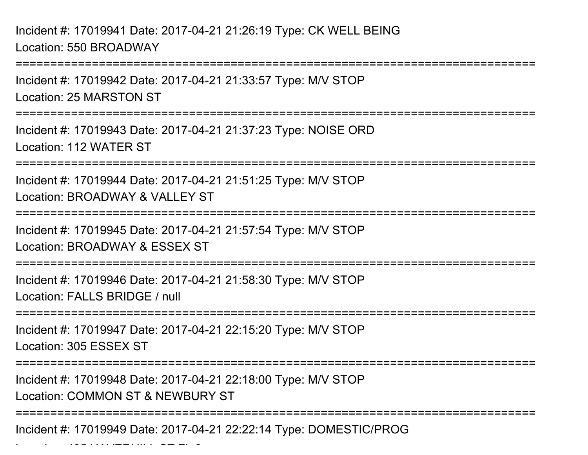Incident #: 17019941 Date: 2017-04-21 21:26:19 Type: CK WELL BEINGLocation: 550 BROADWAY

Location: 405 HAVERHILL ST FL 3

===========================================================================Incident #: 17019942 Date: 2017-04-21 21:33:57 Type: M/V STOPLocation: 25 MARSTON ST===========================================================================Incident #: 17019943 Date: 2017-04-21 21:37:23 Type: NOISE ORDLocation: 112 WATER ST===========================================================================Incident #: 17019944 Date: 2017-04-21 21:51:25 Type: M/V STOPLocation: BROADWAY & VALLEY ST ===========================================================================Incident #: 17019945 Date: 2017-04-21 21:57:54 Type: M/V STOPLocation: BROADWAY & ESSEX ST===========================================================================Incident #: 17019946 Date: 2017-04-21 21:58:30 Type: M/V STOPLocation: FALLS BRIDGE / null===========================================================================Incident #: 17019947 Date: 2017-04-21 22:15:20 Type: M/V STOPLocation: 305 ESSEX ST===========================================================================Incident #: 17019948 Date: 2017-04-21 22:18:00 Type: M/V STOPLocation: COMMON ST & NEWBURY ST===========================================================================Incident #: 17019949 Date: 2017-04-21 22:22:14 Type: DOMESTIC/PROG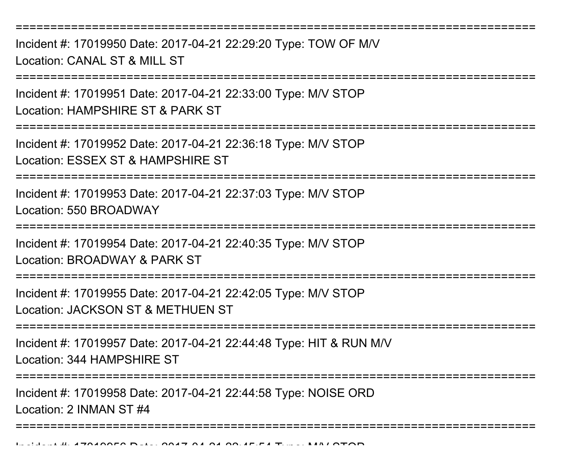Incident #: 17019950 Date: 2017-04-21 22:29:20 Type: TOW OF M/VLocation: CANAL ST & MILL ST

===========================================================================

Incident #: 17019951 Date: 2017-04-21 22:33:00 Type: M/V STOPLocation: HAMPSHIRE ST & PARK ST

===========================================================================

Incident #: 17019952 Date: 2017-04-21 22:36:18 Type: M/V STOPLocation: ESSEX ST & HAMPSHIRE ST

===========================================================================

Incident #: 17019953 Date: 2017-04-21 22:37:03 Type: M/V STOPLocation: 550 BROADWAY

===========================================================================

Incident #: 17019954 Date: 2017-04-21 22:40:35 Type: M/V STOP

Location: BROADWAY & PARK ST

===========================================================================

Incident #: 17019955 Date: 2017-04-21 22:42:05 Type: M/V STOP

Location: JACKSON ST & METHUEN ST

===========================================================================

Incident #: 17019957 Date: 2017-04-21 22:44:48 Type: HIT & RUN M/VLocation: 344 HAMPSHIRE ST

===========================================================================

===========================================================================

Incident #: 17019958 Date: 2017-04-21 22:44:58 Type: NOISE ORD

Location: 2 INMAN ST #4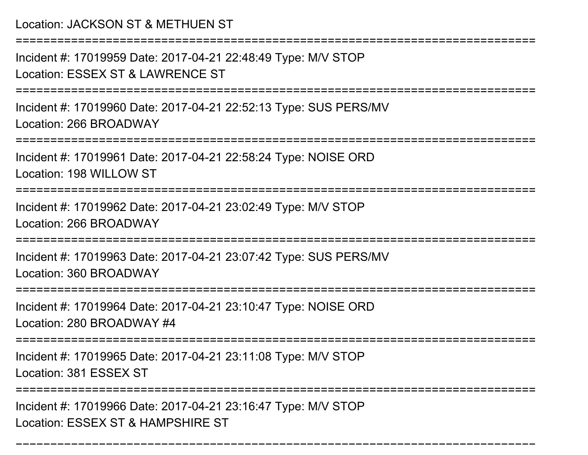## Location: JACKSON ST & METHUEN ST

===========================================================================

Incident #: 17019959 Date: 2017-04-21 22:48:49 Type: M/V STOPLocation: ESSEX ST & LAWRENCE ST

===========================================================================

Incident #: 17019960 Date: 2017-04-21 22:52:13 Type: SUS PERS/MVLocation: 266 BROADWAY

===========================================================================

Incident #: 17019961 Date: 2017-04-21 22:58:24 Type: NOISE ORDLocation: 198 WILLOW ST

===========================================================================

Incident #: 17019962 Date: 2017-04-21 23:02:49 Type: M/V STOPLocation: 266 BROADWAY

===========================================================================

Incident #: 17019963 Date: 2017-04-21 23:07:42 Type: SUS PERS/MVLocation: 360 BROADWAY

======================

Incident #: 17019964 Date: 2017-04-21 23:10:47 Type: NOISE ORD

Location: 280 BROADWAY #4

===========================================================================

Incident #: 17019965 Date: 2017-04-21 23:11:08 Type: M/V STOP

Location: 381 ESSEX ST

===========================================================================

===========================================================================

Incident #: 17019966 Date: 2017-04-21 23:16:47 Type: M/V STOPLocation: ESSEX ST & HAMPSHIRE ST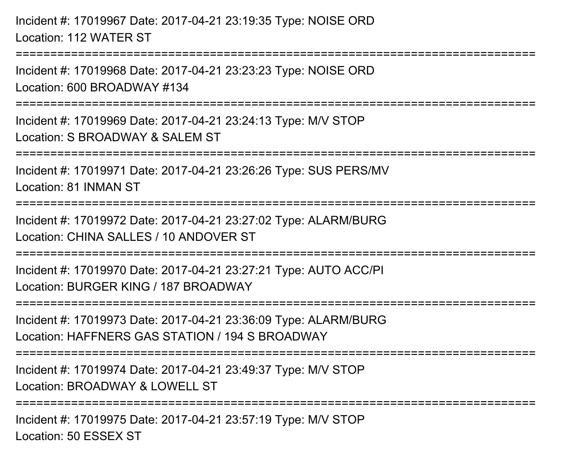Incident #: 17019967 Date: 2017-04-21 23:19:35 Type: NOISE ORDLocation: 112 WATER ST===========================================================================Incident #: 17019968 Date: 2017-04-21 23:23:23 Type: NOISE ORDLocation: 600 BROADWAY #134===========================================================================Incident #: 17019969 Date: 2017-04-21 23:24:13 Type: M/V STOPLocation: S BROADWAY & SALEM ST ===========================================================================Incident #: 17019971 Date: 2017-04-21 23:26:26 Type: SUS PERS/MVLocation: 81 INMAN ST===========================================================================Incident #: 17019972 Date: 2017-04-21 23:27:02 Type: ALARM/BURGLocation: CHINA SALLES / 10 ANDOVER ST===========================================================================Incident #: 17019970 Date: 2017-04-21 23:27:21 Type: AUTO ACC/PILocation: BURGER KING / 187 BROADWAY===========================================================================Incident #: 17019973 Date: 2017-04-21 23:36:09 Type: ALARM/BURGLocation: HAFFNERS GAS STATION / 194 S BROADWAY===========================================================================Incident #: 17019974 Date: 2017-04-21 23:49:37 Type: M/V STOPLocation: BROADWAY & LOWELL ST===========================================================================Incident #: 17019975 Date: 2017-04-21 23:57:19 Type: M/V STOPLocation: 50 ESSEX ST